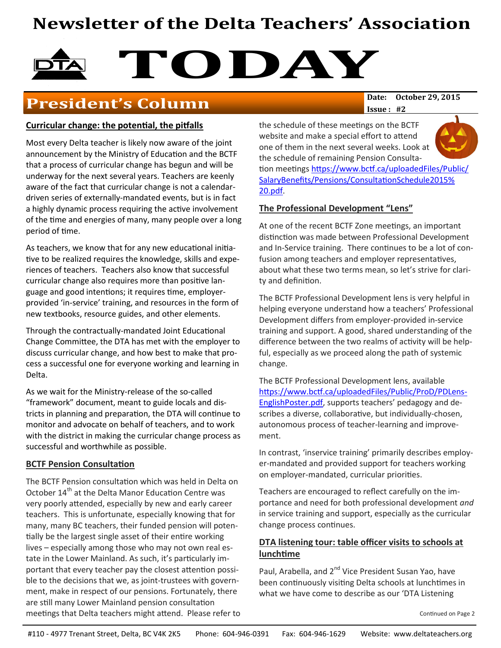# **Newsletter of the Delta Teachers' Association**

# **TODAY**<br>Date: October 29, 2015

## **President's Column**

#### **Curricular change: the potential, the pitfalls**

Most every Delta teacher is likely now aware of the joint announcement by the Ministry of Education and the BCTF that a process of curricular change has begun and will be underway for the next several years. Teachers are keenly aware of the fact that curricular change is not a calendardriven series of externally-mandated events, but is in fact a highly dynamic process requiring the active involvement of the time and energies of many, many people over a long period of time.

As teachers, we know that for any new educational initiative to be realized requires the knowledge, skills and experiences of teachers. Teachers also know that successful curricular change also requires more than positive language and good intentions; it requires time, employerprovided 'in-service' training, and resources in the form of new textbooks, resource guides, and other elements.

Through the contractually-mandated Joint Educational Change Committee, the DTA has met with the employer to discuss curricular change, and how best to make that process a successful one for everyone working and learning in Delta.

As we wait for the Ministry-release of the so-called "framework" document, meant to guide locals and districts in planning and preparation, the DTA will continue to monitor and advocate on behalf of teachers, and to work with the district in making the curricular change process as successful and worthwhile as possible.

#### **BCTF Pension Consultation**

The BCTF Pension consultation which was held in Delta on October 14<sup>th</sup> at the Delta Manor Education Centre was very poorly attended, especially by new and early career teachers. This is unfortunate, especially knowing that for many, many BC teachers, their funded pension will potentially be the largest single asset of their entire working lives – especially among those who may not own real estate in the Lower Mainland. As such, it's particularly important that every teacher pay the closest attention possible to the decisions that we, as joint-trustees with government, make in respect of our pensions. Fortunately, there are still many Lower Mainland pension consultation meetings that Delta teachers might attend. Please refer to **Issue : #2**

the schedule of these meetings on the BCTF website and make a special effort to attend one of them in the next several weeks. Look at the schedule of remaining Pension Consultation meetings [https://www.bctf.ca/uploadedFiles/Public/](https://www.bctf.ca/uploadedFiles/Public/SalaryBenefits/Pensions/ConsultationSchedule2015%20.pdf) [SalaryBenefits/Pensions/ConsultationSchedule2015%](https://www.bctf.ca/uploadedFiles/Public/SalaryBenefits/Pensions/ConsultationSchedule2015%20.pdf) [20.pdf.](https://www.bctf.ca/uploadedFiles/Public/SalaryBenefits/Pensions/ConsultationSchedule2015%20.pdf)

#### **The Professional Development "Lens"**

At one of the recent BCTF Zone meetings, an important distinction was made between Professional Development and In-Service training. There continues to be a lot of confusion among teachers and employer representatives, about what these two terms mean, so let's strive for clarity and definition.

The BCTF Professional Development lens is very helpful in helping everyone understand how a teachers' Professional Development differs from employer-provided in-service training and support. A good, shared understanding of the difference between the two realms of activity will be helpful, especially as we proceed along the path of systemic change.

The BCTF Professional Development lens, available [https://www.bctf.ca/uploadedFiles/Public/ProD/PDLens](https://www.bctf.ca/uploadedFiles/Public/ProD/PDLens-EnglishPoster.pdf)-[EnglishPoster.pdf,](https://www.bctf.ca/uploadedFiles/Public/ProD/PDLens-EnglishPoster.pdf) supports teachers' pedagogy and describes a diverse, collaborative, but individually-chosen, autonomous process of teacher-learning and improvement.

In contrast, 'inservice training' primarily describes employer-mandated and provided support for teachers working on employer-mandated, curricular priorities.

Teachers are encouraged to reflect carefully on the importance and need for both professional development *and*  in service training and support, especially as the curricular change process continues.

#### **DTA listening tour: table officer visits to schools at lunchtime**

Paul, Arabella, and 2<sup>nd</sup> Vice President Susan Yao, have been continuously visiting Delta schools at lunchtimes in what we have come to describe as our 'DTA Listening

Continued on Page 2